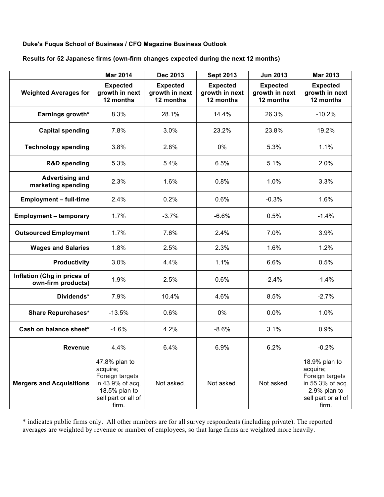## **Duke's Fuqua School of Business / CFO Magazine Business Outlook**

### **Results for 52 Japanese firms (own-firm changes expected during the next 12 months)**

|                                                   | <b>Mar 2014</b>                                                                                                   | <b>Dec 2013</b>                                | <b>Sept 2013</b>                               | <b>Jun 2013</b>                                | <b>Mar 2013</b>                                                                                                  |
|---------------------------------------------------|-------------------------------------------------------------------------------------------------------------------|------------------------------------------------|------------------------------------------------|------------------------------------------------|------------------------------------------------------------------------------------------------------------------|
| <b>Weighted Averages for</b>                      | <b>Expected</b><br>growth in next<br>12 months                                                                    | <b>Expected</b><br>growth in next<br>12 months | <b>Expected</b><br>growth in next<br>12 months | <b>Expected</b><br>growth in next<br>12 months | <b>Expected</b><br>growth in next<br>12 months                                                                   |
| Earnings growth*                                  | 8.3%                                                                                                              | 28.1%                                          | 14.4%                                          | 26.3%                                          | $-10.2%$                                                                                                         |
| <b>Capital spending</b>                           | 7.8%                                                                                                              | 3.0%                                           | 23.2%                                          | 23.8%                                          | 19.2%                                                                                                            |
| <b>Technology spending</b>                        | 3.8%                                                                                                              | 2.8%                                           | 0%                                             | 5.3%                                           | 1.1%                                                                                                             |
| <b>R&amp;D</b> spending                           | 5.3%                                                                                                              | 5.4%                                           | 6.5%                                           | 5.1%                                           | 2.0%                                                                                                             |
| <b>Advertising and</b><br>marketing spending      | 2.3%                                                                                                              | 1.6%                                           | 0.8%                                           | 1.0%                                           | 3.3%                                                                                                             |
| <b>Employment - full-time</b>                     | 2.4%                                                                                                              | 0.2%                                           | 0.6%                                           | $-0.3%$                                        | 1.6%                                                                                                             |
| <b>Employment - temporary</b>                     | 1.7%                                                                                                              | $-3.7%$                                        | $-6.6%$                                        | 0.5%                                           | $-1.4%$                                                                                                          |
| <b>Outsourced Employment</b>                      | 1.7%                                                                                                              | 7.6%                                           | 2.4%                                           | 7.0%                                           | 3.9%                                                                                                             |
| <b>Wages and Salaries</b>                         | 1.8%                                                                                                              | 2.5%                                           | 2.3%                                           | 1.6%                                           | 1.2%                                                                                                             |
| <b>Productivity</b>                               | 3.0%                                                                                                              | 4.4%                                           | 1.1%                                           | 6.6%                                           | 0.5%                                                                                                             |
| Inflation (Chg in prices of<br>own-firm products) | 1.9%                                                                                                              | 2.5%                                           | 0.6%                                           | $-2.4%$                                        | $-1.4%$                                                                                                          |
| Dividends*                                        | 7.9%                                                                                                              | 10.4%                                          | 4.6%                                           | 8.5%                                           | $-2.7%$                                                                                                          |
| <b>Share Repurchases*</b>                         | $-13.5%$                                                                                                          | 0.6%                                           | 0%                                             | 0.0%                                           | 1.0%                                                                                                             |
| Cash on balance sheet*                            | $-1.6%$                                                                                                           | 4.2%                                           | $-8.6%$                                        | 3.1%                                           | 0.9%                                                                                                             |
| Revenue                                           | 4.4%                                                                                                              | 6.4%                                           | 6.9%                                           | 6.2%                                           | $-0.2%$                                                                                                          |
| <b>Mergers and Acquisitions</b>                   | 47.8% plan to<br>acquire;<br>Foreign targets<br>in 43.9% of acq.<br>18.5% plan to<br>sell part or all of<br>firm. | Not asked.                                     | Not asked.                                     | Not asked.                                     | 18.9% plan to<br>acquire;<br>Foreign targets<br>in 55.3% of acq.<br>2.9% plan to<br>sell part or all of<br>firm. |

\* indicates public firms only. All other numbers are for all survey respondents (including private). The reported averages are weighted by revenue or number of employees, so that large firms are weighted more heavily.